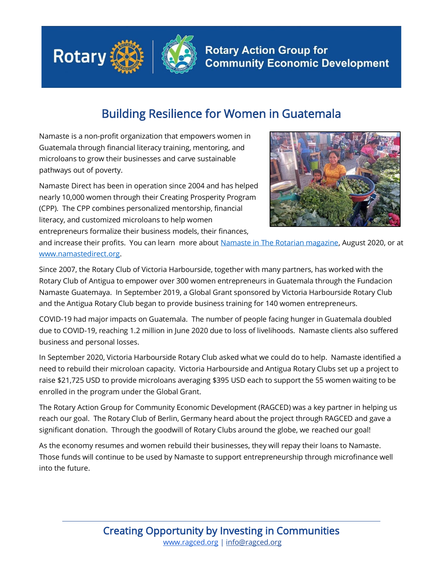

## Building Resilience for Women in Guatemala

Namaste is a non-profit organization that empowers women in Guatemala through financial literacy training, mentoring, and microloans to grow their businesses and carve sustainable pathways out of poverty.

Namaste Direct has been in operation since 2004 and has helped nearly 10,000 women through their Creating Prosperity Program (CPP). The CPP combines personalized mentorship, financial literacy, and customized microloans to help women entrepreneurs formalize their business models, their finances,



and increase their profits. You can learn more about [Namaste in The Rotarian magazine,](https://www.rotary.org/en/people-action-around-globe-august-2020) August 2020, or at [www.namastedirect.org.](http://www.namastedirect.org/)

Since 2007, the Rotary Club of Victoria Harbourside, together with many partners, has worked with the Rotary Club of Antigua to empower over 300 women entrepreneurs in Guatemala through the Fundacion Namaste Guatemaya. In September 2019, a Global Grant sponsored by Victoria Harbourside Rotary Club and the Antigua Rotary Club began to provide business training for 140 women entrepreneurs.

COVID-19 had major impacts on Guatemala. The number of people facing hunger in Guatemala doubled due to COVID-19, reaching 1.2 million in June 2020 due to loss of livelihoods. Namaste clients also suffered business and personal losses.

In September 2020, Victoria Harbourside Rotary Club asked what we could do to help. Namaste identified a need to rebuild their microloan capacity. Victoria Harbourside and Antigua Rotary Clubs set up a project to raise \$21,725 USD to provide microloans averaging \$395 USD each to support the 55 women waiting to be enrolled in the program under the Global Grant.

The Rotary Action Group for Community Economic Development (RAGCED) was a key partner in helping us reach our goal. The Rotary Club of Berlin, Germany heard about the project through RAGCED and gave a significant donation. Through the goodwill of Rotary Clubs around the globe, we reached our goal!

As the economy resumes and women rebuild their businesses, they will repay their loans to Namaste. Those funds will continue to be used by Namaste to support entrepreneurship through microfinance well into the future.